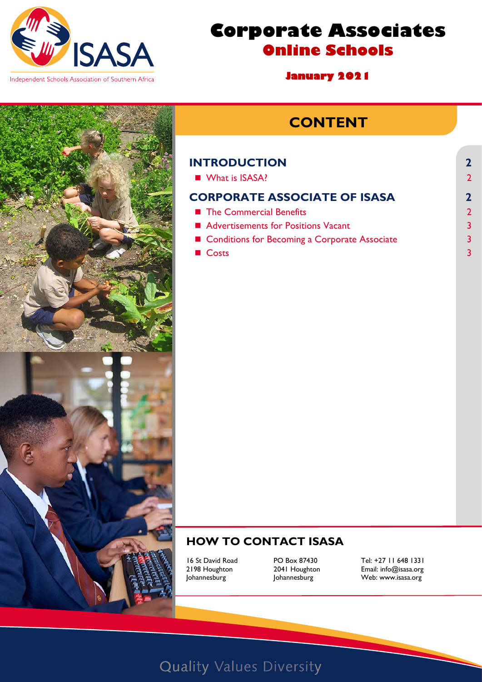

# **Corporate Associates Online Schools**

**January 2021** 

## **CONTENT**

#### **[INTRODUCTION](#page-1-0) 2** ■ [What is ISASA?](#page-1-1)

#### **[CORPORATE ASSOCIATE OF ISASA](#page-1-2) 2**

- [The Commercial Benefits](#page-1-3) 2
- [Advertisements for Positions Vacant](#page-2-0) 3
- [Conditions for Becoming a Corporate Associate](#page-2-1) 3
- $\blacksquare$  [Costs](#page-2-2) 3

## **HOW TO CONTACT ISASA**

16 St David Road **PO Box 87430** Tel: +27 11 648 1331<br>2198 Houghton 2041 Houghton **Email:** info@isasa.org 2198 Houghton 2041 Houghton Email: [info@isasa.org](mailto:info@isasa.org) Web: [www.isasa.org](http://www.isasa.org/)

# **Quality Values Diversity**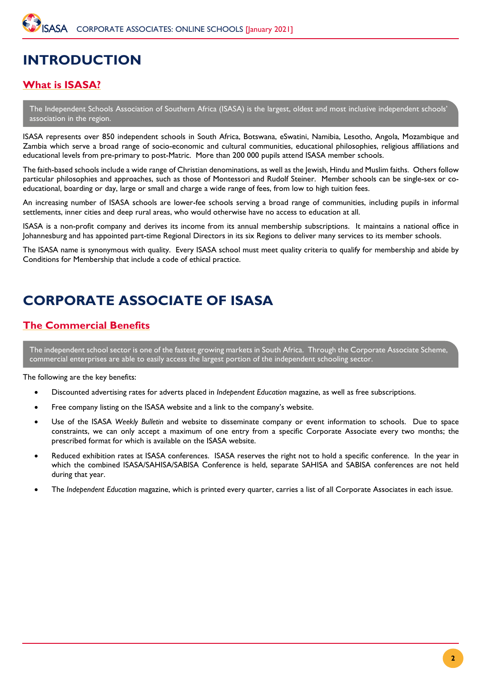## <span id="page-1-0"></span>**INTRODUCTION**

## <span id="page-1-1"></span>**What is ISASA?**

The Independent Schools Association of Southern Africa (ISASA) is the largest, oldest and most inclusive independent schools' association in the region.

ISASA represents over 850 independent schools in South Africa, Botswana, eSwatini, Namibia, Lesotho, Angola, Mozambique and Zambia which serve a broad range of socio-economic and cultural communities, educational philosophies, religious affiliations and educational levels from pre-primary to post-Matric. More than 200 000 pupils attend ISASA member schools.

The faith-based schools include a wide range of Christian denominations, as well as the Jewish, Hindu and Muslim faiths. Others follow particular philosophies and approaches, such as those of Montessori and Rudolf Steiner. Member schools can be single-sex or coeducational, boarding or day, large or small and charge a wide range of fees, from low to high tuition fees.

An increasing number of ISASA schools are lower-fee schools serving a broad range of communities, including pupils in informal settlements, inner cities and deep rural areas, who would otherwise have no access to education at all.

ISASA is a non-profit company and derives its income from its annual membership subscriptions. It maintains a national office in Johannesburg and has appointed part-time Regional Directors in its six Regions to deliver many services to its member schools.

The ISASA name is synonymous with quality. Every ISASA school must meet quality criteria to qualify for membership and abide by Conditions for Membership that include a code of ethical practice.

## <span id="page-1-2"></span>**CORPORATE ASSOCIATE OF ISASA**

## <span id="page-1-3"></span>**The Commercial Benefits**

The independent school sector is one of the fastest growing markets in South Africa. Through the Corporate Associate Scheme, commercial enterprises are able to easily access the largest portion of the independent schooling sector.

The following are the key benefits:

- Discounted advertising rates for adverts placed in *Independent Education* magazine, as well as free subscriptions.
- Free company listing on the ISASA website and a link to the company's website.
- Use of the ISASA *Weekly Bulletin* and website to disseminate company or event information to schools. Due to space constraints, we can only accept a maximum of one entry from a specific Corporate Associate every two months; the prescribed format for which is available on the ISASA website.
- Reduced exhibition rates at ISASA conferences. ISASA reserves the right not to hold a specific conference. In the year in which the combined ISASA/SAHISA/SABISA Conference is held, separate SAHISA and SABISA conferences are not held during that year.
- The *Independent Education* magazine, which is printed every quarter, carries a list of all Corporate Associates in each issue.